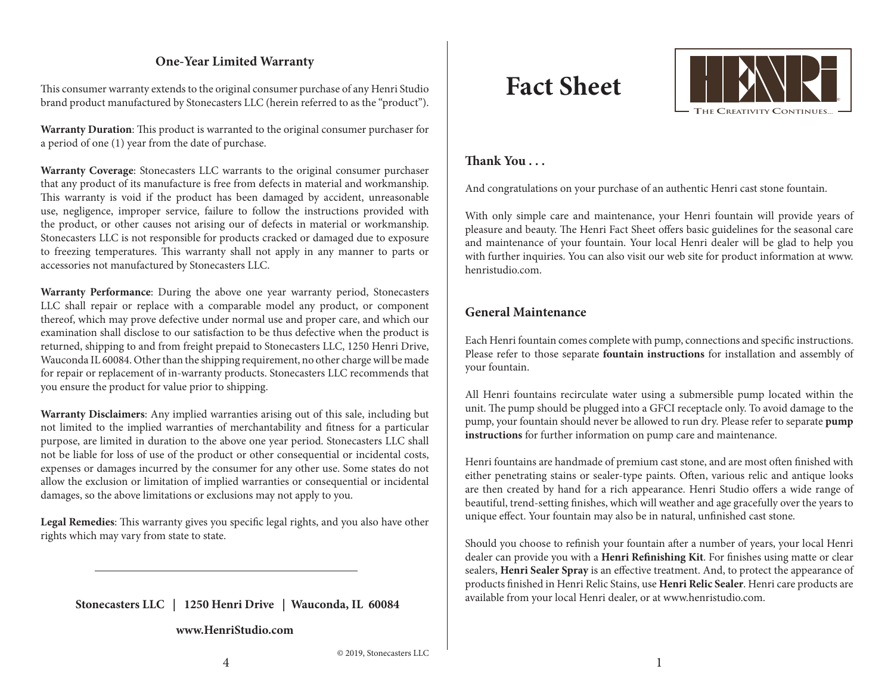# **One-Year Limited Warranty**

This consumer warranty extends to the original consumer purchase of any Henri Studio brand product manufactured by Stonecasters LLC (herein referred to as the "product").

**Warranty Duration**: This product is warranted to the original consumer purchaser for a period of one (1) year from the date of purchase.

**Warranty Coverage**: Stonecasters LLC warrants to the original consumer purchaser that any product of its manufacture is free from defects in material and workmanship. This warranty is void if the product has been damaged by accident, unreasonable use, negligence, improper service, failure to follow the instructions provided with the product, or other causes not arising our of defects in material or workmanship. Stonecasters LLC is not responsible for products cracked or damaged due to exposure to freezing temperatures. This warranty shall not apply in any manner to parts or accessories not manufactured by Stonecasters LLC.

**Warranty Performance**: During the above one year warranty period, Stonecasters LLC shall repair or replace with a comparable model any product, or component thereof, which may prove defective under normal use and proper care, and which our examination shall disclose to our satisfaction to be thus defective when the product is returned, shipping to and from freight prepaid to Stonecasters LLC, 1250 Henri Drive, Wauconda IL 60084. Other than the shipping requirement, no other charge will be made for repair or replacement of in-warranty products. Stonecasters LLC recommends that you ensure the product for value prior to shipping.

**Warranty Disclaimers**: Any implied warranties arising out of this sale, including but not limited to the implied warranties of merchantability and fitness for a particular purpose, are limited in duration to the above one year period. Stonecasters LLC shall not be liable for loss of use of the product or other consequential or incidental costs, expenses or damages incurred by the consumer for any other use. Some states do not allow the exclusion or limitation of implied warranties or consequential or incidental damages, so the above limitations or exclusions may not apply to you.

**Legal Remedies**: This warranty gives you specific legal rights, and you also have other rights which may vary from state to state.

 **Stonecasters LLC | 1250 Henri Drive | Wauconda, IL 60084**

#### **www.HenriStudio.com**

# **Fact Sheet**



# **Thank You . . .**

And congratulations on your purchase of an authentic Henri cast stone fountain.

With only simple care and maintenance, your Henri fountain will provide years of pleasure and beauty. The Henri Fact Sheet offers basic guidelines for the seasonal care and maintenance of your fountain. Your local Henri dealer will be glad to help you with further inquiries. You can also visit our web site for product information at www. henristudio.com.

# **General Maintenance**

Each Henri fountain comes complete with pump, connections and specific instructions. Please refer to those separate **fountain instructions** for installation and assembly of your fountain.

All Henri fountains recirculate water using a submersible pump located within the unit. The pump should be plugged into a GFCI receptacle only. To avoid damage to the pump, your fountain should never be allowed to run dry. Please refer to separate **pump instructions** for further information on pump care and maintenance.

Henri fountains are handmade of premium cast stone, and are most often finished with either penetrating stains or sealer-type paints. Often, various relic and antique looks are then created by hand for a rich appearance. Henri Studio offers a wide range of beautiful, trend-setting finishes, which will weather and age gracefully over the years to unique effect. Your fountain may also be in natural, unfinished cast stone.

Should you choose to refinish your fountain after a number of years, your local Henri dealer can provide you with a **Henri Refinishing Kit**. For finishes using matte or clear sealers, **Henri Sealer Spray** is an effective treatment. And, to protect the appearance of products finished in Henri Relic Stains, use **Henri Relic Sealer**. Henri care products are available from your local Henri dealer, or at www.henristudio.com.

© 2019, Stonecasters LLC